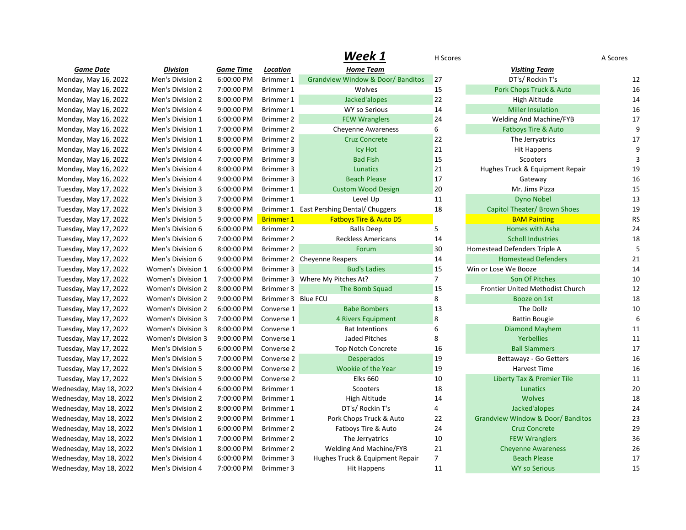|                         |                           |                  |                    | VVEEK 1                                      | H Scores       |                                              | A Scores  |
|-------------------------|---------------------------|------------------|--------------------|----------------------------------------------|----------------|----------------------------------------------|-----------|
| Game Date               | <b>Division</b>           | <b>Game Time</b> | Location           | <b>Home Team</b>                             |                | <b>Visiting Team</b>                         |           |
| Monday, May 16, 2022    | Men's Division 2          | 6:00:00 PM       | Brimmer 1          | <b>Grandview Window &amp; Door/ Banditos</b> | 27             | DT's/ Rockin T's                             | 12        |
| Monday, May 16, 2022    | Men's Division 2          | 7:00:00 PM       | <b>Brimmer 1</b>   | Wolves                                       | 15             | Pork Chops Truck & Auto                      | 16        |
| Monday, May 16, 2022    | Men's Division 2          | 8:00:00 PM       | Brimmer 1          | Jacked'alopes                                | 22             | High Altitude                                | 14        |
| Monday, May 16, 2022    | Men's Division 4          | 9:00:00 PM       | Brimmer 1          | WY so Serious                                | 14             | <b>Miller Insulation</b>                     | 16        |
| Monday, May 16, 2022    | Men's Division 1          | 6:00:00 PM       | Brimmer 2          | <b>FEW Wranglers</b>                         | 24             | Welding And Machine/FYB                      | 17        |
| Monday, May 16, 2022    | Men's Division 1          | 7:00:00 PM       | Brimmer 2          | <b>Cheyenne Awareness</b>                    | 6              | Fatboys Tire & Auto                          | 9         |
| Monday, May 16, 2022    | Men's Division 1          | 8:00:00 PM       | Brimmer 2          | <b>Cruz Concrete</b>                         | 22             | The Jerryatrics                              | 17        |
| Monday, May 16, 2022    | Men's Division 4          | 6:00:00 PM       | Brimmer 3          | Icy Hot                                      | 21             | Hit Happens                                  | 9         |
| Monday, May 16, 2022    | Men's Division 4          | 7:00:00 PM       | Brimmer 3          | <b>Bad Fish</b>                              | 15             | Scooters                                     |           |
| Monday, May 16, 2022    | Men's Division 4          | 8:00:00 PM       | Brimmer 3          | <b>Lunatics</b>                              | 21             | Hughes Truck & Equipment Repair              | 19        |
| Monday, May 16, 2022    | Men's Division 4          | 9:00:00 PM       | Brimmer 3          | <b>Beach Please</b>                          | 17             | Gateway                                      | 16        |
| Tuesday, May 17, 2022   | Men's Division 3          | 6:00:00 PM       | Brimmer 1          | <b>Custom Wood Design</b>                    | 20             | Mr. Jims Pizza                               | 15        |
| Tuesday, May 17, 2022   | Men's Division 3          | 7:00:00 PM       | Brimmer 1          | Level Up                                     | 11             | <b>Dyno Nobel</b>                            | 13        |
| Tuesday, May 17, 2022   | Men's Division 3          | 8:00:00 PM       |                    | Brimmer 1 East Pershing Dental/ Chuggers     | 18             | <b>Capitol Theater/ Brown Shoes</b>          | 19        |
| Tuesday, May 17, 2022   | Men's Division 5          | 9:00:00 PM       | <b>Brimmer 1</b>   | <b>Fatboys Tire &amp; Auto D5</b>            |                | <b>BAM Painting</b>                          | <b>RS</b> |
| Tuesday, May 17, 2022   | Men's Division 6          | 6:00:00 PM       | Brimmer 2          | <b>Balls Deep</b>                            | 5              | Homes with Asha                              | 24        |
| Tuesday, May 17, 2022   | Men's Division 6          | 7:00:00 PM       | Brimmer 2          | <b>Reckless Americans</b>                    | 14             | <b>Scholl Industries</b>                     | 18        |
| Tuesday, May 17, 2022   | Men's Division 6          | 8:00:00 PM       | Brimmer 2          | Forum                                        | 30             | Homestead Defenders Triple A                 |           |
| Tuesday, May 17, 2022   | Men's Division 6          | 9:00:00 PM       |                    | Brimmer 2 Cheyenne Reapers                   | 14             | <b>Homestead Defenders</b>                   | 21        |
| Tuesday, May 17, 2022   | Women's Division 1        | 6:00:00 PM       | Brimmer 3          | <b>Bud's Ladies</b>                          | 15             | Win or Lose We Booze                         | 14        |
| Tuesday, May 17, 2022   | Women's Division 1        | 7:00:00 PM       |                    | Brimmer 3 Where My Pitches At?               | $\overline{7}$ | Son Of Pitches                               | 10        |
| Tuesday, May 17, 2022   | Women's Division 2        | 8:00:00 PM       | Brimmer 3          | The Bomb Squad                               | 15             | Frontier United Methodist Church             | 12        |
| Tuesday, May 17, 2022   | Women's Division 2        | 9:00:00 PM       | Brimmer 3 Blue FCU |                                              | 8              | Booze on 1st                                 | 18        |
| Tuesday, May 17, 2022   | Women's Division 2        | 6:00:00 PM       | Converse 1         | <b>Babe Bombers</b>                          | 13             | The Dollz                                    | 10        |
| Tuesday, May 17, 2022   | Women's Division 3        | 7:00:00 PM       | Converse 1         | 4 Rivers Equipment                           | 8              | <b>Battin Bougie</b>                         | 6         |
| Tuesday, May 17, 2022   | Women's Division 3        | 8:00:00 PM       | Converse 1         | <b>Bat Intentions</b>                        | 6              | <b>Diamond Mayhem</b>                        | 11        |
| Tuesday, May 17, 2022   | <b>Women's Division 3</b> | 9:00:00 PM       | Converse 1         | Jaded Pitches                                | 8              | <b>Yerbellies</b>                            | 11        |
| Tuesday, May 17, 2022   | Men's Division 5          | 6:00:00 PM       | Converse 2         | <b>Top Notch Concrete</b>                    | 16             | <b>Ball Slammers</b>                         | 17        |
| Tuesday, May 17, 2022   | Men's Division 5          | 7:00:00 PM       | Converse 2         | <b>Desperados</b>                            | 19             | Bettawayz - Go Getters                       | 16        |
| Tuesday, May 17, 2022   | Men's Division 5          | 8:00:00 PM       | Converse 2         | <b>Wookie of the Year</b>                    | 19             | <b>Harvest Time</b>                          | 16        |
| Tuesday, May 17, 2022   | Men's Division 5          | 9:00:00 PM       | Converse 2         | <b>Elks 660</b>                              | 10             | <b>Liberty Tax &amp; Premier Tile</b>        | 11        |
| Wednesday, May 18, 2022 | Men's Division 4          | 6:00:00 PM       | <b>Brimmer 1</b>   | Scooters                                     | 18             | Lunatics                                     | 20        |
| Wednesday, May 18, 2022 | Men's Division 2          | 7:00:00 PM       | <b>Brimmer 1</b>   | High Altitude                                | 14             | <b>Wolves</b>                                | 18        |
| Wednesday, May 18, 2022 | Men's Division 2          | 8:00:00 PM       | Brimmer 1          | DT's/ Rockin T's                             | 4              | Jacked'alopes                                | 24        |
| Wednesday, May 18, 2022 | Men's Division 2          | 9:00:00 PM       | Brimmer 1          | Pork Chops Truck & Auto                      | 22             | <b>Grandview Window &amp; Door/ Banditos</b> | 23        |
| Wednesday, May 18, 2022 | Men's Division 1          | 6:00:00 PM       | Brimmer 2          | Fatboys Tire & Auto                          | 24             | <b>Cruz Concrete</b>                         | 29        |
| Wednesday, May 18, 2022 | Men's Division 1          | 7:00:00 PM       | Brimmer 2          | The Jerryatrics                              | 10             | <b>FEW Wranglers</b>                         | 36        |
| Wednesday, May 18, 2022 | Men's Division 1          | 8:00:00 PM       | Brimmer 2          | Welding And Machine/FYB                      | 21             | <b>Cheyenne Awareness</b>                    | 26        |
| Wednesday, May 18, 2022 | Men's Division 4          | 6:00:00 PM       | Brimmer 3          | Hughes Truck & Equipment Repair              | $\overline{7}$ | <b>Beach Please</b>                          | 17        |
| Wednesday, May 18, 2022 | Men's Division 4          | 7:00:00 PM       | Brimmer 3          | Hit Happens                                  | 11             | <b>WY so Serious</b>                         | 15        |

| Week 1                             | H Scores       |                                              | A Scores  |
|------------------------------------|----------------|----------------------------------------------|-----------|
| <b>Home Team</b>                   |                | <b>Visiting Team</b>                         |           |
| <b>Window &amp; Door/ Banditos</b> | 27             | DT's/ Rockin T's                             | 12        |
| Wolves                             | 15             | Pork Chops Truck & Auto                      | 16        |
| Jacked'alopes                      | 22             | High Altitude                                | 14        |
| <b>WY so Serious</b>               | 14             | <b>Miller Insulation</b>                     | 16        |
| <b>FEW Wranglers</b>               | 24             | <b>Welding And Machine/FYB</b>               | 17        |
| eyenne Awareness                   | 6              | <b>Fatboys Tire &amp; Auto</b>               | 9         |
| <b>Cruz Concrete</b>               | 22             | The Jerryatrics                              | 17        |
| <b>Icy Hot</b>                     | 21             | <b>Hit Happens</b>                           | 9         |
| <b>Bad Fish</b>                    | 15             | Scooters                                     | 3         |
| Lunatics                           | 21             | Hughes Truck & Equipment Repair              | 19        |
| <b>Beach Please</b>                | 17             | Gateway                                      | 16        |
| tom Wood Design                    | 20             | Mr. Jims Pizza                               | 15        |
| Level Up                           | 11             | <b>Dyno Nobel</b>                            | 13        |
| Dental/ Chuggers                   | 18             | Capitol Theater/ Brown Shoes                 | 19        |
| oys Tire & Auto D5                 |                | <b>BAM Painting</b>                          | <b>RS</b> |
| <b>Balls Deep</b>                  | 5              | Homes with Asha                              | 24        |
| ckless Americans                   | 14             | <b>Scholl Industries</b>                     | 18        |
| Forum                              | 30             | Homestead Defenders Triple A                 | 5         |
| pers                               | 14             | <b>Homestead Defenders</b>                   | 21        |
| <b>Bud's Ladies</b>                | 15             | Win or Lose We Booze                         | 14        |
| ches At?                           | 7              | Son Of Pitches                               | 10        |
| he Bomb Squad                      | 15             | Frontier United Methodist Church             | 12        |
|                                    | 8              | Booze on 1st                                 | 18        |
| <b>Babe Bombers</b>                | 13             | The Dollz                                    | 10        |
| Rivers Equipment                   | 8              | <b>Battin Bougie</b>                         | 6         |
| <b>Bat Intentions</b>              | 6              | <b>Diamond Mayhem</b>                        | 11        |
| Jaded Pitches                      | 8              | <b>Yerbellies</b>                            | 11        |
| p Notch Concrete                   | 16             | <b>Ball Slammers</b>                         | 17        |
| <b>Desperados</b>                  | 19             | Bettawayz - Go Getters                       | 16        |
| ookie of the Year                  | 19             | <b>Harvest Time</b>                          | 16        |
| <b>Elks 660</b>                    | 10             | Liberty Tax & Premier Tile                   | 11        |
| Scooters                           | 18             | Lunatics                                     | 20        |
| <b>High Altitude</b>               | 14             | <b>Wolves</b>                                | 18        |
| DT's/ Rockin T's                   | 4              | Jacked'alopes                                | 24        |
| Chops Truck & Auto                 | 22             | <b>Grandview Window &amp; Door/ Banditos</b> | 23        |
| tboys Tire & Auto                  | 24             | <b>Cruz Concrete</b>                         | 29        |
| The Jerryatrics                    | 10             | <b>FEW Wranglers</b>                         | 36        |
| ng And Machine/FYB                 | 21             | <b>Cheyenne Awareness</b>                    | 26        |
| uck & Equipment Repair             | $\overline{7}$ | <b>Beach Please</b>                          | 17        |
| <b>Hit Happens</b>                 | 11             | <b>WY so Serious</b>                         | 15        |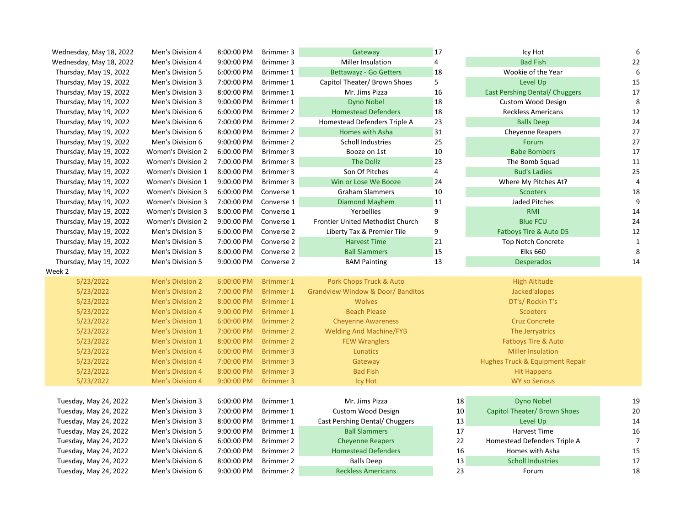| Wednesday, May 18, 2022                        | Men's Division 4                     | 8:00:00 PM               | Brimmer 3              | Gateway                                        | 17       | Icy Hot                                    | 6                |
|------------------------------------------------|--------------------------------------|--------------------------|------------------------|------------------------------------------------|----------|--------------------------------------------|------------------|
| Wednesday, May 18, 2022                        | Men's Division 4                     | 9:00:00 PM               | Brimmer 3              | Miller Insulation                              | 4        | <b>Bad Fish</b>                            | 22               |
| Thursday, May 19, 2022                         | Men's Division 5                     | 6:00:00 PM               | Brimmer 1              | <b>Bettawayz - Go Getters</b>                  | 18       | Wookie of the Year                         | $\boldsymbol{6}$ |
| Thursday, May 19, 2022                         | Men's Division 3                     | 7:00:00 PM               | Brimmer 1              | Capitol Theater/ Brown Shoes                   | 5        | Level Up                                   | 15               |
| Thursday, May 19, 2022                         | Men's Division 3                     | 8:00:00 PM               | Brimmer 1              | Mr. Jims Pizza                                 | 16       | East Pershing Dental/ Chuggers             | 17               |
| Thursday, May 19, 2022                         | Men's Division 3                     | 9:00:00 PM               | Brimmer 1              | <b>Dyno Nobel</b>                              | 18       | <b>Custom Wood Design</b>                  | 8                |
| Thursday, May 19, 2022                         | Men's Division 6                     | 6:00:00 PM               | Brimmer 2              | <b>Homestead Defenders</b>                     | 18       | <b>Reckless Americans</b>                  | 12               |
| Thursday, May 19, 2022                         | Men's Division 6                     | 7:00:00 PM               | Brimmer 2              | Homestead Defenders Triple A                   | 23       | <b>Balls Deep</b>                          | 24               |
| Thursday, May 19, 2022                         | Men's Division 6                     | 8:00:00 PM               | Brimmer 2              | Homes with Asha                                | 31       | Cheyenne Reapers                           | 27               |
| Thursday, May 19, 2022                         | Men's Division 6                     | 9:00:00 PM               | Brimmer 2              | Scholl Industries                              | 25       | Forum                                      | 27               |
| Thursday, May 19, 2022                         | Women's Division 2                   | 6:00:00 PM               | Brimmer 3              | Booze on 1st                                   | 10       | <b>Babe Bombers</b>                        | 17               |
| Thursday, May 19, 2022                         | Women's Division 2                   | 7:00:00 PM               | Brimmer 3              | The Dollz                                      | 23       | The Bomb Squad                             | 11               |
| Thursday, May 19, 2022                         | Women's Division 1                   | 8:00:00 PM               | Brimmer 3              | Son Of Pitches                                 | 4        | <b>Bud's Ladies</b>                        | 25               |
| Thursday, May 19, 2022                         | Women's Division 1                   | 9:00:00 PM               | Brimmer 3              | Win or Lose We Booze                           | 24       | Where My Pitches At?                       | 4                |
| Thursday, May 19, 2022                         | Women's Division 3                   | 6:00:00 PM               | Converse 1             | <b>Graham Slammers</b>                         | 10       | <b>Scooters</b>                            | 18               |
| Thursday, May 19, 2022                         | Women's Division 3                   | 7:00:00 PM               | Converse 1             | <b>Diamond Mayhem</b>                          | 11       | Jaded Pitches                              | 9                |
| Thursday, May 19, 2022                         | Women's Division 3                   | 8:00:00 PM               | Converse 1             | Yerbellies                                     | 9        | <b>RMI</b>                                 | 14               |
| Thursday, May 19, 2022                         | Women's Division 2                   | 9:00:00 PM               | Converse 1             | Frontier United Methodist Church               | 8        | <b>Blue FCU</b>                            | 24               |
| Thursday, May 19, 2022                         | Men's Division 5                     | 6:00:00 PM               | Converse 2             | Liberty Tax & Premier Tile                     | 9        | Fatboys Tire & Auto D5                     | 12               |
| Thursday, May 19, 2022                         | Men's Division 5                     | 7:00:00 PM               | Converse 2             | <b>Harvest Time</b>                            | 21       | <b>Top Notch Concrete</b>                  | $\mathbf{1}$     |
| Thursday, May 19, 2022                         | Men's Division 5                     | 8:00:00 PM               | Converse 2             | <b>Ball Slammers</b>                           | 15       | <b>Elks 660</b>                            | 8                |
| Thursday, May 19, 2022                         | Men's Division 5                     | 9:00:00 PM               | Converse 2             | <b>BAM Painting</b>                            | 13       | <b>Desperados</b>                          | 14               |
| Week 2                                         |                                      |                          |                        |                                                |          |                                            |                  |
| 5/23/2022                                      | <b>Men's Division 2</b>              | 6:00:00 PM               | <b>Brimmer 1</b>       | Pork Chops Truck & Auto                        |          | <b>High Altitude</b>                       |                  |
| 5/23/2022                                      | <b>Men's Division 2</b>              | 7:00:00 PM               | <b>Brimmer 1</b>       | <b>Grandview Window &amp; Door/ Banditos</b>   |          | Jacked'alopes                              |                  |
| 5/23/2022                                      | <b>Men's Division 2</b>              | 8:00:00 PM               | <b>Brimmer 1</b>       | <b>Wolves</b>                                  |          | DT's/ Rockin T's                           |                  |
| 5/23/2022                                      | <b>Men's Division 4</b>              |                          |                        |                                                |          | <b>Scooters</b>                            |                  |
|                                                |                                      | 9:00:00 PM               | <b>Brimmer 1</b>       | <b>Beach Please</b>                            |          |                                            |                  |
| 5/23/2022                                      | <b>Men's Division 1</b>              | 6:00:00 PM               | <b>Brimmer 2</b>       | <b>Cheyenne Awareness</b>                      |          | <b>Cruz Concrete</b>                       |                  |
| 5/23/2022                                      | <b>Men's Division 1</b>              | 7:00:00 PM               | <b>Brimmer 2</b>       | <b>Welding And Machine/FYB</b>                 |          | The Jerryatrics                            |                  |
| 5/23/2022                                      | Men's Division 1                     | 8:00:00 PM               | <b>Brimmer 2</b>       | <b>FEW Wranglers</b>                           |          | <b>Fatboys Tire &amp; Auto</b>             |                  |
| 5/23/2022                                      | <b>Men's Division 4</b>              | 6:00:00 PM               | <b>Brimmer 3</b>       | Lunatics                                       |          | <b>Miller Insulation</b>                   |                  |
| 5/23/2022                                      | <b>Men's Division 4</b>              | 7:00:00 PM               | <b>Brimmer 3</b>       | Gateway                                        |          | <b>Hughes Truck &amp; Equipment Repair</b> |                  |
| 5/23/2022                                      | <b>Men's Division 4</b>              | 8:00:00 PM               | <b>Brimmer 3</b>       | <b>Bad Fish</b>                                |          | <b>Hit Happens</b>                         |                  |
| 5/23/2022                                      | <b>Men's Division 4</b>              | 9:00:00 PM               | <b>Brimmer 3</b>       | Icy Hot                                        |          | <b>WY so Serious</b>                       |                  |
|                                                |                                      |                          |                        |                                                |          |                                            |                  |
| Tuesday, May 24, 2022                          | Men's Division 3                     | 6:00:00 PM               | Brimmer 1              | Mr. Jims Pizza                                 | 18       | <b>Dyno Nobel</b>                          | 19               |
| Tuesday, May 24, 2022                          | Men's Division 3                     | 7:00:00 PM               | Brimmer 1              | <b>Custom Wood Design</b>                      | 10       | Capitol Theater/ Brown Shoes               | 20               |
| Tuesday, May 24, 2022                          | Men's Division 3                     | 8:00:00 PM               | Brimmer 1              | East Pershing Dental/ Chuggers                 | 13       | Level Up                                   | 14               |
| Tuesday, May 24, 2022                          | Men's Division 5                     | 9:00:00 PM               | Brimmer 1              | <b>Ball Slammers</b>                           | 17       | Harvest Time                               | 16               |
| Tuesday, May 24, 2022                          | Men's Division 6                     | 6:00:00 PM               | Brimmer 2              | <b>Cheyenne Reapers</b>                        | 22       | Homestead Defenders Triple A               | $\overline{7}$   |
| Tuesday, May 24, 2022                          | Men's Division 6                     | 7:00:00 PM               | Brimmer 2              | <b>Homestead Defenders</b>                     | 16       | Homes with Asha                            | 15               |
| Tuesday, May 24, 2022<br>Tuesday, May 24, 2022 | Men's Division 6<br>Men's Division 6 | 8:00:00 PM<br>9:00:00 PM | Brimmer 2<br>Brimmer 2 | <b>Balls Deep</b><br><b>Reckless Americans</b> | 13<br>23 | <b>Scholl Industries</b><br>Forum          | 17<br>18         |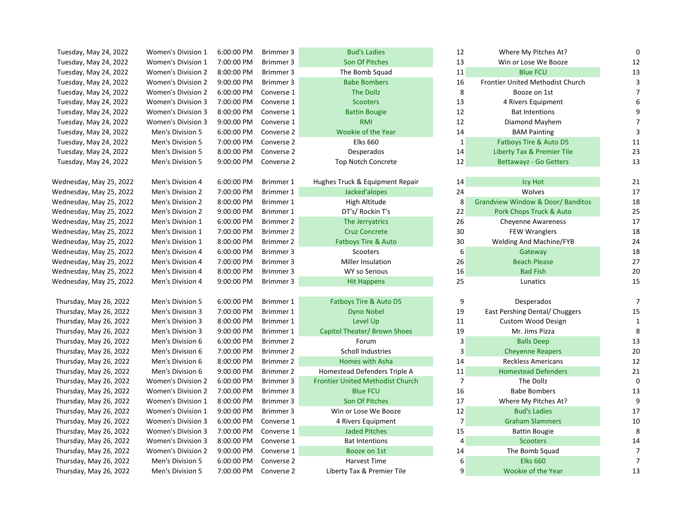| Tuesday, May 24, 2022   | <b>Women's Division 1</b> | 6:00:00 PM | Brimmer 3        | <b>Bud's Ladies</b>                     | 12             | Where My Pitches At?                         |              |
|-------------------------|---------------------------|------------|------------------|-----------------------------------------|----------------|----------------------------------------------|--------------|
| Tuesday, May 24, 2022   | <b>Women's Division 1</b> | 7:00:00 PM | Brimmer 3        | Son Of Pitches                          | 13             | Win or Lose We Booze                         | 12           |
| Tuesday, May 24, 2022   | <b>Women's Division 2</b> | 8:00:00 PM | Brimmer 3        | The Bomb Squad                          | 11             | <b>Blue FCU</b>                              | 13           |
| Tuesday, May 24, 2022   | Women's Division 2        | 9:00:00 PM | Brimmer 3        | <b>Babe Bombers</b>                     | 16             | Frontier United Methodist Church             |              |
| Tuesday, May 24, 2022   | <b>Women's Division 2</b> | 6:00:00 PM | Converse 1       | <b>The Dollz</b>                        | $\,$ 8 $\,$    | Booze on 1st                                 |              |
| Tuesday, May 24, 2022   | <b>Women's Division 3</b> | 7:00:00 PM | Converse 1       | <b>Scooters</b>                         | 13             | 4 Rivers Equipment                           |              |
| Tuesday, May 24, 2022   | <b>Women's Division 3</b> | 8:00:00 PM | Converse 1       | <b>Battin Bougie</b>                    | 12             | <b>Bat Intentions</b>                        | 9            |
| Tuesday, May 24, 2022   | <b>Women's Division 3</b> | 9:00:00 PM | Converse 1       | <b>RMI</b>                              | 12             | Diamond Mayhem                               |              |
| Tuesday, May 24, 2022   | Men's Division 5          | 6:00:00 PM | Converse 2       | <b>Wookie of the Year</b>               | 14             | <b>BAM Painting</b>                          | 3            |
| Tuesday, May 24, 2022   | Men's Division 5          | 7:00:00 PM | Converse 2       | <b>Elks 660</b>                         | $\mathbf 1$    | Fatboys Tire & Auto D5                       | 11           |
| Tuesday, May 24, 2022   | Men's Division 5          | 8:00:00 PM | Converse 2       | Desperados                              | 14             | Liberty Tax & Premier Tile                   | 23           |
| Tuesday, May 24, 2022   | Men's Division 5          | 9:00:00 PM | Converse 2       | <b>Top Notch Concrete</b>               | 12             | Bettawayz - Go Getters                       | 13           |
| Wednesday, May 25, 2022 | Men's Division 4          | 6:00:00 PM | Brimmer 1        | Hughes Truck & Equipment Repair         | 14             | Icy Hot                                      | 21           |
| Wednesday, May 25, 2022 | Men's Division 2          | 7:00:00 PM | Brimmer 1        | Jacked'alopes                           | 24             | Wolves                                       | 17           |
| Wednesday, May 25, 2022 | Men's Division 2          | 8:00:00 PM | Brimmer 1        | <b>High Altitude</b>                    | 8              | <b>Grandview Window &amp; Door/ Banditos</b> | 18           |
| Wednesday, May 25, 2022 | Men's Division 2          | 9:00:00 PM | Brimmer 1        | DT's/ Rockin T's                        | 22             | Pork Chops Truck & Auto                      | 25           |
| Wednesday, May 25, 2022 | Men's Division 1          | 6:00:00 PM | Brimmer 2        | The Jerryatrics                         | 26             | <b>Cheyenne Awareness</b>                    | 17           |
| Wednesday, May 25, 2022 | Men's Division 1          | 7:00:00 PM | Brimmer 2        | <b>Cruz Concrete</b>                    | 30             | <b>FEW Wranglers</b>                         | 18           |
| Wednesday, May 25, 2022 | Men's Division 1          | 8:00:00 PM | Brimmer 2        | <b>Fatboys Tire &amp; Auto</b>          | 30             | Welding And Machine/FYB                      | 24           |
| Wednesday, May 25, 2022 | Men's Division 4          | 6:00:00 PM | Brimmer 3        | Scooters                                | 6              | Gateway                                      | 18           |
| Wednesday, May 25, 2022 | Men's Division 4          | 7:00:00 PM | Brimmer 3        | Miller Insulation                       | 26             | <b>Beach Please</b>                          | 27           |
| Wednesday, May 25, 2022 | Men's Division 4          | 8:00:00 PM | Brimmer 3        | <b>WY so Serious</b>                    | 16             | <b>Bad Fish</b>                              | 20           |
| Wednesday, May 25, 2022 | Men's Division 4          | 9:00:00 PM | Brimmer 3        | <b>Hit Happens</b>                      | 25             | Lunatics                                     | 15           |
| Thursday, May 26, 2022  | Men's Division 5          | 6:00:00 PM | Brimmer 1        | Fatboys Tire & Auto D5                  | 9              | Desperados                                   |              |
| Thursday, May 26, 2022  | Men's Division 3          | 7:00:00 PM | Brimmer 1        | <b>Dyno Nobel</b>                       | 19             | East Pershing Dental/ Chuggers               | 15           |
| Thursday, May 26, 2022  | Men's Division 3          | 8:00:00 PM | Brimmer 1        | Level Up                                | 11             | <b>Custom Wood Design</b>                    | $\mathbf{1}$ |
| Thursday, May 26, 2022  | Men's Division 3          | 9:00:00 PM | Brimmer 1        | <b>Capitol Theater/ Brown Shoes</b>     | 19             | Mr. Jims Pizza                               | 8            |
| Thursday, May 26, 2022  | Men's Division 6          | 6:00:00 PM | <b>Brimmer 2</b> | Forum                                   | 3              | <b>Balls Deep</b>                            | 13           |
| Thursday, May 26, 2022  | Men's Division 6          | 7:00:00 PM | Brimmer 2        | Scholl Industries                       | 3              | <b>Cheyenne Reapers</b>                      | 20           |
| Thursday, May 26, 2022  | Men's Division 6          | 8:00:00 PM | Brimmer 2        | Homes with Asha                         | 14             | <b>Reckless Americans</b>                    | 12           |
| Thursday, May 26, 2022  | Men's Division 6          | 9:00:00 PM | Brimmer 2        | Homestead Defenders Triple A            | 11             | <b>Homestead Defenders</b>                   | 21           |
| Thursday, May 26, 2022  | <b>Women's Division 2</b> | 6:00:00 PM | Brimmer 3        | <b>Frontier United Methodist Church</b> | $\overline{7}$ | The Dollz                                    | 0            |
| Thursday, May 26, 2022  | <b>Women's Division 2</b> | 7:00:00 PM | Brimmer 3        | <b>Blue FCU</b>                         | 16             | <b>Babe Bombers</b>                          | 13           |
| Thursday, May 26, 2022  | <b>Women's Division 1</b> | 8:00:00 PM | Brimmer 3        | Son Of Pitches                          | 17             | Where My Pitches At?                         | 9            |
| Thursday, May 26, 2022  | Women's Division 1        | 9:00:00 PM | Brimmer 3        | Win or Lose We Booze                    | 12             | <b>Bud's Ladies</b>                          | 17           |
| Thursday, May 26, 2022  | Women's Division 3        | 6:00:00 PM | Converse 1       | 4 Rivers Equipment                      | $\overline{7}$ | <b>Graham Slammers</b>                       | 10           |
| Thursday, May 26, 2022  | <b>Women's Division 3</b> | 7:00:00 PM | Converse 1       | <b>Jaded Pitches</b>                    | 15             | <b>Battin Bougie</b>                         |              |
| Thursday, May 26, 2022  | Women's Division 3        | 8:00:00 PM | Converse 1       | <b>Bat Intentions</b>                   | $\overline{4}$ | <b>Scooters</b>                              | 14           |
| Thursday, May 26, 2022  | <b>Women's Division 2</b> | 9:00:00 PM | Converse 1       | Booze on 1st                            | 14             | The Bomb Squad                               | 7            |
| Thursday, May 26, 2022  | Men's Division 5          | 6:00:00 PM | Converse 2       | Harvest Time                            | 6              | <b>Elks 660</b>                              |              |
| Thursday, May 26, 2022  | Men's Division 5          | 7:00:00 PM | Converse 2       | Liberty Tax & Premier Tile              | 9              | Wookie of the Year                           | 13           |

| 2 | Where My Pitches At?                         | 0  |
|---|----------------------------------------------|----|
| 3 | Win or Lose We Booze                         | 12 |
| 1 | <b>Blue FCU</b>                              | 13 |
| 6 | Frontier United Methodist Church             | 3  |
| 8 | Booze on 1st                                 | 7  |
| 3 | 4 Rivers Equipment                           | 6  |
| 2 | <b>Bat Intentions</b>                        | 9  |
| 2 | Diamond Mayhem                               | 7  |
| 4 | <b>BAM Painting</b>                          | 3  |
| 1 | Fatboys Tire & Auto D5                       | 11 |
| 4 | <b>Liberty Tax &amp; Premier Tile</b>        | 23 |
| 2 | <b>Bettawayz - Go Getters</b>                | 13 |
|   |                                              |    |
| 4 | <b>Icy Hot</b>                               | 21 |
| 4 | Wolves                                       | 17 |
| 8 | <b>Grandview Window &amp; Door/ Banditos</b> | 18 |
| 2 | Pork Chops Truck & Auto                      | 25 |
| 6 | <b>Cheyenne Awareness</b>                    | 17 |
| 0 | <b>FEW Wranglers</b>                         | 18 |
| 0 | <b>Welding And Machine/FYB</b>               | 24 |
| 6 | Gateway                                      | 18 |
| 6 | <b>Beach Please</b>                          | 27 |
| 6 | <b>Bad Fish</b>                              | 20 |
| 5 | Lunatics                                     | 15 |
|   |                                              |    |
| 9 | Desperados                                   | 7  |
| 9 | East Pershing Dental/ Chuggers               | 15 |
| 1 | <b>Custom Wood Design</b>                    | 1  |
| 9 | Mr. Jims Pizza                               | 8  |
| з | <b>Balls Deep</b>                            | 13 |
| 3 | <b>Cheyenne Reapers</b>                      | 20 |
| 4 | <b>Reckless Americans</b>                    | 12 |
| 1 | <b>Homestead Defenders</b>                   | 21 |
| 7 | The Dollz                                    | 0  |
| 6 | <b>Babe Bombers</b>                          | 13 |
| 7 | Where My Pitches At?                         | 9  |
| 2 | <b>Bud's Ladies</b>                          | 17 |
| 7 | <b>Graham Slammers</b>                       | 10 |
| 5 | <b>Battin Bougie</b>                         | 8  |
| 4 | <b>Scooters</b>                              | 14 |
| 4 | The Bomb Squad                               | 7  |
| 6 | <b>Elks 660</b>                              | 7  |
| 9 | Wookie of the Year                           | 13 |